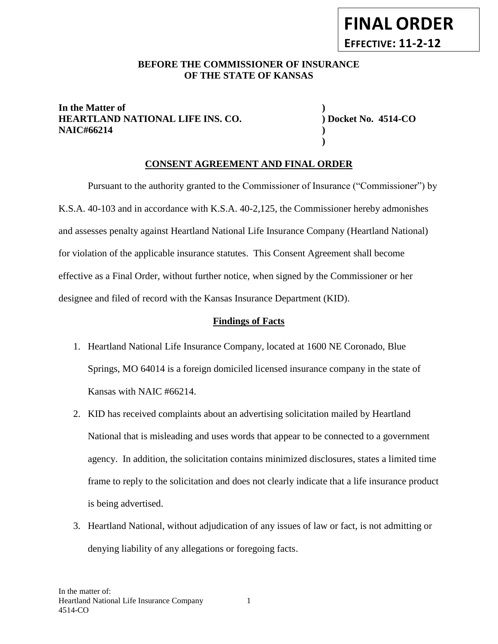#### BEFORE THE COMMISSIONER OF INSURANCE **OF THE STATE OF KANSAS**

#### **In the Matter of ) HEARTLAND NATIONAL LIFE INS. CO. ) Docket No. 4514-CO NAIC#66214 )**

**)**

## **CONSENT AGREEMENT AND FINAL ORDER**

Pursuant to the authority granted to the Commissioner of Insurance ("Commissioner") by K.S.A. 40-103 and in accordance with K.S.A. 40-2,125, the Commissioner hereby admonishes and assesses penalty against Heartland National Life Insurance Company (Heartland National) for violation of the applicable insurance statutes. This Consent Agreement shall become effective as a Final Order, without further notice, when signed by the Commissioner or her designee and filed of record with the Kansas Insurance Department (KID).

#### **Findings of Facts**

- 1. Heartland National Life Insurance Company, located at 1600 NE Coronado, Blue Springs, MO 64014 is a foreign domiciled licensed insurance company in the state of Kansas with NAIC #66214.
- 2. KID has received complaints about an advertising solicitation mailed by Heartland National that is misleading and uses words that appear to be connected to a government agency. In addition, the solicitation contains minimized disclosures, states a limited time frame to reply to the solicitation and does not clearly indicate that a life insurance product is being advertised.
- 3. Heartland National, without adjudication of any issues of law or fact, is not admitting or denying liability of any allegations or foregoing facts.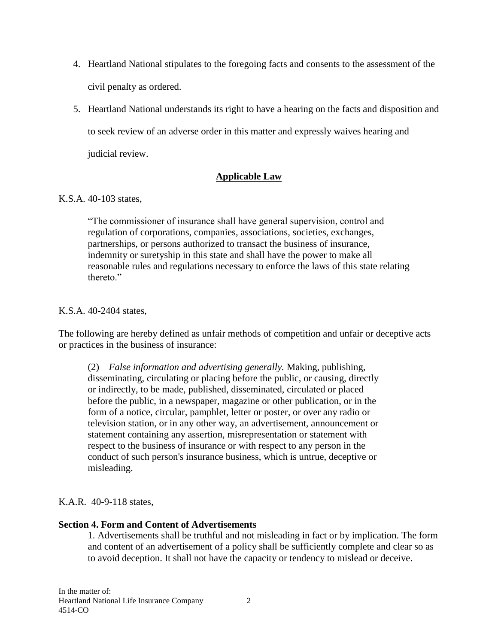- 4. Heartland National stipulates to the foregoing facts and consents to the assessment of the civil penalty as ordered.
- 5. Heartland National understands its right to have a hearing on the facts and disposition and to seek review of an adverse order in this matter and expressly waives hearing and judicial review.

## **Applicable Law**

#### K.S.A. 40-103 states,

"The commissioner of insurance shall have general supervision, control and regulation of corporations, companies, associations, societies, exchanges, partnerships, or persons authorized to transact the business of insurance, indemnity or suretyship in this state and shall have the power to make all reasonable rules and regulations necessary to enforce the laws of this state relating thereto<sup>"</sup>

#### K.S.A. 40-2404 states,

The following are hereby defined as unfair methods of competition and unfair or deceptive acts or practices in the business of insurance:

(2) *False information and advertising generally.* Making, publishing, disseminating, circulating or placing before the public, or causing, directly or indirectly, to be made, published, disseminated, circulated or placed before the public, in a newspaper, magazine or other publication, or in the form of a notice, circular, pamphlet, letter or poster, or over any radio or television station, or in any other way, an advertisement, announcement or statement containing any assertion, misrepresentation or statement with respect to the business of insurance or with respect to any person in the conduct of such person's insurance business, which is untrue, deceptive or misleading.

K.A.R. 40-9-118 states,

## **Section 4. Form and Content of Advertisements**

1. Advertisements shall be truthful and not misleading in fact or by implication. The form and content of an advertisement of a policy shall be sufficiently complete and clear so as to avoid deception. It shall not have the capacity or tendency to mislead or deceive.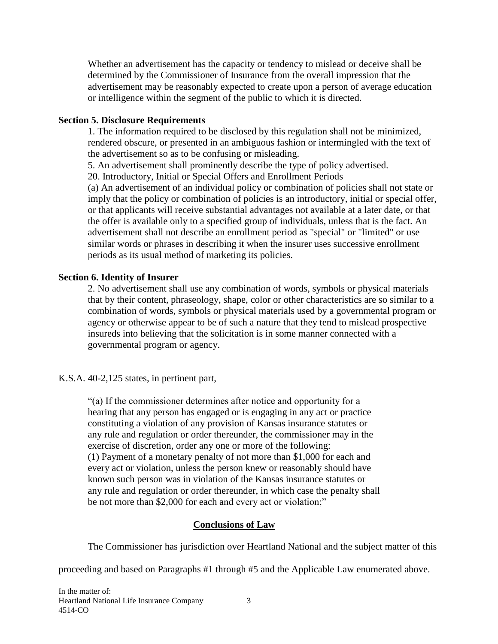Whether an advertisement has the capacity or tendency to mislead or deceive shall be determined by the Commissioner of Insurance from the overall impression that the advertisement may be reasonably expected to create upon a person of average education or intelligence within the segment of the public to which it is directed.

#### **Section 5. Disclosure Requirements**

1. The information required to be disclosed by this regulation shall not be minimized, rendered obscure, or presented in an ambiguous fashion or intermingled with the text of the advertisement so as to be confusing or misleading.

5. An advertisement shall prominently describe the type of policy advertised.

20. Introductory, Initial or Special Offers and Enrollment Periods

(a) An advertisement of an individual policy or combination of policies shall not state or imply that the policy or combination of policies is an introductory, initial or special offer, or that applicants will receive substantial advantages not available at a later date, or that the offer is available only to a specified group of individuals, unless that is the fact. An advertisement shall not describe an enrollment period as "special" or "limited" or use similar words or phrases in describing it when the insurer uses successive enrollment periods as its usual method of marketing its policies.

# **Section 6. Identity of Insurer**

2. No advertisement shall use any combination of words, symbols or physical materials that by their content, phraseology, shape, color or other characteristics are so similar to a combination of words, symbols or physical materials used by a governmental program or agency or otherwise appear to be of such a nature that they tend to mislead prospective insureds into believing that the solicitation is in some manner connected with a governmental program or agency.

K.S.A. 40-2,125 states, in pertinent part,

"(a) If the commissioner determines after notice and opportunity for a hearing that any person has engaged or is engaging in any act or practice constituting a violation of any provision of Kansas insurance statutes or any rule and regulation or order thereunder, the commissioner may in the exercise of discretion, order any one or more of the following: (1) Payment of a monetary penalty of not more than \$1,000 for each and every act or violation, unless the person knew or reasonably should have known such person was in violation of the Kansas insurance statutes or any rule and regulation or order thereunder, in which case the penalty shall be not more than \$2,000 for each and every act or violation;"

# **Conclusions of Law**

The Commissioner has jurisdiction over Heartland National and the subject matter of this

proceeding and based on Paragraphs #1 through #5 and the Applicable Law enumerated above.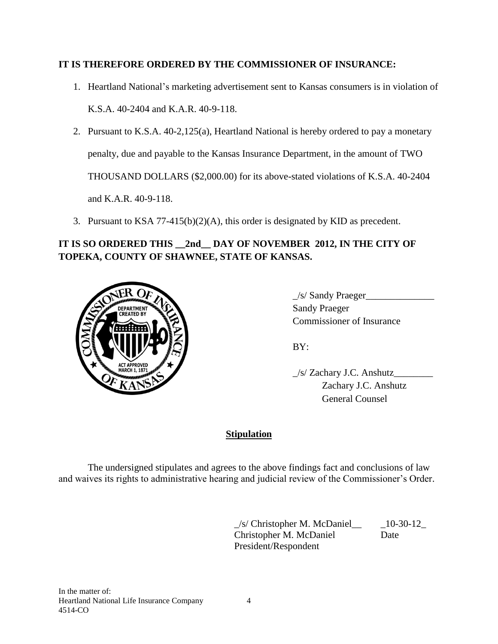# **IT IS THEREFORE ORDERED BY THE COMMISSIONER OF INSURANCE:**

1. Heartland National's marketing advertisement sent to Kansas consumers is in violation of

K.S.A. 40-2404 and K.A.R. 40-9-118.

- 2. Pursuant to K.S.A. 40-2,125(a), Heartland National is hereby ordered to pay a monetary penalty, due and payable to the Kansas Insurance Department, in the amount of TWO THOUSAND DOLLARS (\$2,000.00) for its above-stated violations of K.S.A. 40-2404 and K.A.R. 40-9-118.
- 3. Pursuant to KSA 77-415(b)(2)(A), this order is designated by KID as precedent.

# **IT IS SO ORDERED THIS \_\_2nd\_\_ DAY OF NOVEMBER 2012, IN THE CITY OF TOPEKA, COUNTY OF SHAWNEE, STATE OF KANSAS.**



 $\angle$ s/ Sandy Praeger $\angle$ 3. Commissioner of Insurance

BY:

\_/s/ Zachary J.C. Anshutz\_\_\_\_\_\_\_\_ Zachary J.C. Anshutz General Counsel

# **Stipulation**

The undersigned stipulates and agrees to the above findings fact and conclusions of law and waives its rights to administrative hearing and judicial review of the Commissioner's Order.

> $\angle$ s/ Christopher M. McDaniel $\angle$   $\angle$  10-30-12 Christopher M. McDaniel Date President/Respondent